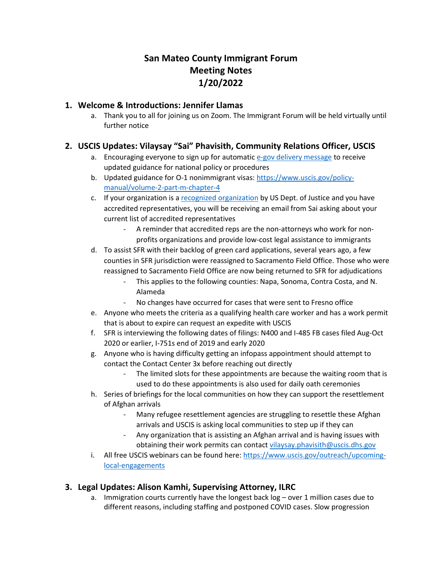# **San Mateo County Immigrant Forum Meeting Notes 1/20/2022**

#### **1. Welcome & Introductions: Jennifer Llamas**

a. Thank you to all for joining us on Zoom. The Immigrant Forum will be held virtually until further notice

## **2. USCIS Updates: Vilaysay "Sai" Phavisith, Community Relations Officer, USCIS**

- a. Encouraging everyone to sign up for automati[c e-gov delivery message](https://protect-us.mimecast.com/s/MiHLCmZ0YRTJl7VyiG3kjd) to receive updated guidance for national policy or procedures
- b. Updated guidance for O-1 nonimmigrant visas[: https://www.uscis.gov/policy](https://protect-us.mimecast.com/s/x7hqCn5mgQFOD149UJOf8I)[manual/volume-2-part-m-chapter-4](https://protect-us.mimecast.com/s/x7hqCn5mgQFOD149UJOf8I)
- c. If your organization is a [recognized organization](https://protect-us.mimecast.com/s/6PTmCo2njRIqY1A2UVbIHK) by US Dept. of Justice and you have accredited representatives, you will be receiving an email from Sai asking about your current list of accredited representatives
	- A reminder that accredited reps are the non-attorneys who work for nonprofits organizations and provide low-cost legal assistance to immigrants
- d. To assist SFR with their backlog of green card applications, several years ago, a few counties in SFR jurisdiction were reassigned to Sacramento Field Office. Those who were reassigned to Sacramento Field Office are now being returned to SFR for adjudications
	- This applies to the following counties: Napa, Sonoma, Contra Costa, and N. Alameda
	- No changes have occurred for cases that were sent to Fresno office
- e. Anyone who meets the criteria as a qualifying health care worker and has a work permit that is about to expire can request an expedite with USCIS
- f. SFR is interviewing the following dates of filings: N400 and I-485 FB cases filed Aug-Oct 2020 or earlier, I-751s end of 2019 and early 2020
- g. Anyone who is having difficulty getting an infopass appointment should attempt to contact the Contact Center 3x before reaching out directly
	- The limited slots for these appointments are because the waiting room that is used to do these appointments is also used for daily oath ceremonies
- h. Series of briefings for the local communities on how they can support the resettlement of Afghan arrivals
	- Many refugee resettlement agencies are struggling to resettle these Afghan arrivals and USCIS is asking local communities to step up if they can
	- Any organization that is assisting an Afghan arrival and is having issues with obtaining their work permits can contac[t vilaysay.phavisith@uscis.dhs.gov](mailto:vilaysay.phavisith@uscis.dhs.gov)
- i. All free USCIS webinars can be found here: [https://www.uscis.gov/outreach/upcoming](https://protect-us.mimecast.com/s/DDP2CpYokwTMoJg4tGZAVt)[local-engagements](https://protect-us.mimecast.com/s/DDP2CpYokwTMoJg4tGZAVt)

## **3. Legal Updates: Alison Kamhi, Supervising Attorney, ILRC**

a. Immigration courts currently have the longest back log – over 1 million cases due to different reasons, including staffing and postponed COVID cases. Slow progression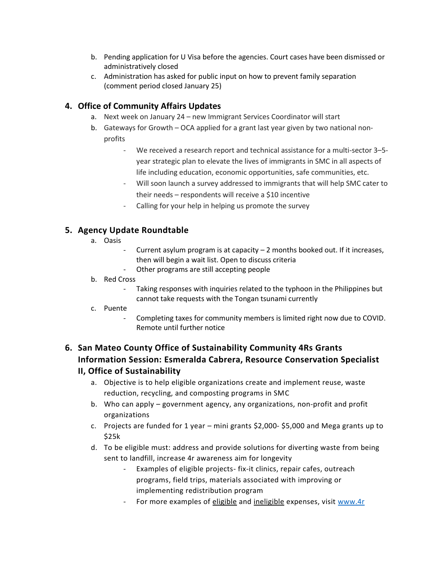- b. Pending application for U Visa before the agencies. Court cases have been dismissed or administratively closed
- c. Administration has asked for public input on how to prevent family separation (comment period closed January 25)

#### **4. Office of Community Affairs Updates**

- a. Next week on January 24 new Immigrant Services Coordinator will start
- b. Gateways for Growth OCA applied for a grant last year given by two national nonprofits
	- We received a research report and technical assistance for a multi-sector 3-5year strategic plan to elevate the lives of immigrants in SMC in all aspects of life including education, economic opportunities, safe communities, etc.
	- Will soon launch a survey addressed to immigrants that will help SMC cater to their needs – respondents will receive a \$10 incentive
	- Calling for your help in helping us promote the survey

## **5. Agency Update Roundtable**

- a. Oasis
- Current asylum program is at capacity  $-$  2 months booked out. If it increases, then will begin a wait list. Open to discuss criteria
- Other programs are still accepting people

#### b. Red Cross

- Taking responses with inquiries related to the typhoon in the Philippines but cannot take requests with the Tongan tsunami currently
- c. Puente
	- Completing taxes for community members is limited right now due to COVID. Remote until further notice

## **6. San Mateo County Office of Sustainability Community 4Rs Grants Information Session: Esmeralda Cabrera, Resource Conservation Specialist II, Office of Sustainability**

- a. Objective is to help eligible organizations create and implement reuse, waste reduction, recycling, and composting programs in SMC
- b. Who can apply government agency, any organizations, non-profit and profit organizations
- c. Projects are funded for 1 year mini grants \$2,000- \$5,000 and Mega grants up to \$25k
- d. To be eligible must: address and provide solutions for diverting waste from being sent to landfill, increase 4r awareness aim for longevity
	- Examples of eligible projects- fix-it clinics, repair cafes, outreach programs, field trips, materials associated with improving or implementing redistribution program
	- For more examples of eligible and ineligible expenses, visit [www.4r](http://www.4r/)